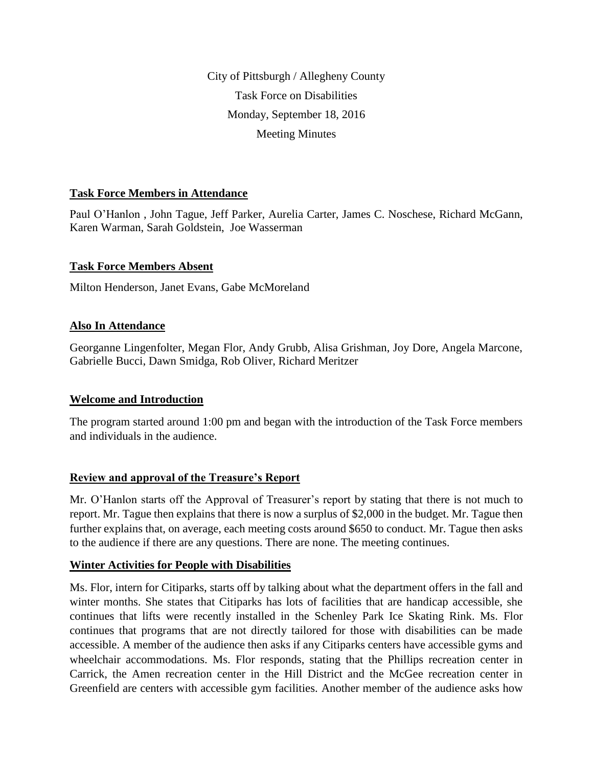City of Pittsburgh / Allegheny County Task Force on Disabilities Monday, September 18, 2016 Meeting Minutes

# **Task Force Members in Attendance**

Paul O'Hanlon , John Tague, Jeff Parker, Aurelia Carter, James C. Noschese, Richard McGann, Karen Warman, Sarah Goldstein, Joe Wasserman

# **Task Force Members Absent**

Milton Henderson, Janet Evans, Gabe McMoreland

# **Also In Attendance**

Georganne Lingenfolter, Megan Flor, Andy Grubb, Alisa Grishman, Joy Dore, Angela Marcone, Gabrielle Bucci, Dawn Smidga, Rob Oliver, Richard Meritzer

# **Welcome and Introduction**

The program started around 1:00 pm and began with the introduction of the Task Force members and individuals in the audience.

# **Review and approval of the Treasure's Report**

Mr. O'Hanlon starts off the Approval of Treasurer's report by stating that there is not much to report. Mr. Tague then explains that there is now a surplus of \$2,000 in the budget. Mr. Tague then further explains that, on average, each meeting costs around \$650 to conduct. Mr. Tague then asks to the audience if there are any questions. There are none. The meeting continues.

# **Winter Activities for People with Disabilities**

Ms. Flor, intern for Citiparks, starts off by talking about what the department offers in the fall and winter months. She states that Citiparks has lots of facilities that are handicap accessible, she continues that lifts were recently installed in the Schenley Park Ice Skating Rink. Ms. Flor continues that programs that are not directly tailored for those with disabilities can be made accessible. A member of the audience then asks if any Citiparks centers have accessible gyms and wheelchair accommodations. Ms. Flor responds, stating that the Phillips recreation center in Carrick, the Amen recreation center in the Hill District and the McGee recreation center in Greenfield are centers with accessible gym facilities. Another member of the audience asks how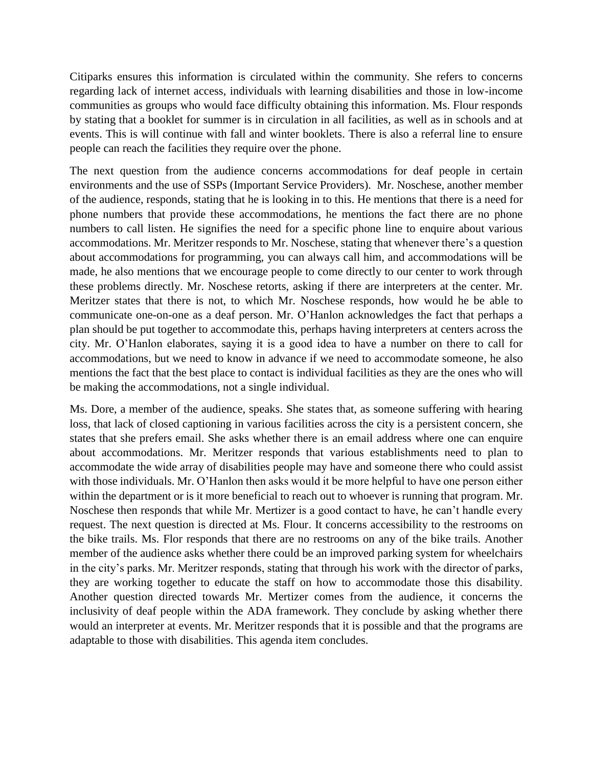Citiparks ensures this information is circulated within the community. She refers to concerns regarding lack of internet access, individuals with learning disabilities and those in low-income communities as groups who would face difficulty obtaining this information. Ms. Flour responds by stating that a booklet for summer is in circulation in all facilities, as well as in schools and at events. This is will continue with fall and winter booklets. There is also a referral line to ensure people can reach the facilities they require over the phone.

The next question from the audience concerns accommodations for deaf people in certain environments and the use of SSPs (Important Service Providers). Mr. Noschese, another member of the audience, responds, stating that he is looking in to this. He mentions that there is a need for phone numbers that provide these accommodations, he mentions the fact there are no phone numbers to call listen. He signifies the need for a specific phone line to enquire about various accommodations. Mr. Meritzer responds to Mr. Noschese, stating that whenever there's a question about accommodations for programming, you can always call him, and accommodations will be made, he also mentions that we encourage people to come directly to our center to work through these problems directly. Mr. Noschese retorts, asking if there are interpreters at the center. Mr. Meritzer states that there is not, to which Mr. Noschese responds, how would he be able to communicate one-on-one as a deaf person. Mr. O'Hanlon acknowledges the fact that perhaps a plan should be put together to accommodate this, perhaps having interpreters at centers across the city. Mr. O'Hanlon elaborates, saying it is a good idea to have a number on there to call for accommodations, but we need to know in advance if we need to accommodate someone, he also mentions the fact that the best place to contact is individual facilities as they are the ones who will be making the accommodations, not a single individual.

Ms. Dore, a member of the audience, speaks. She states that, as someone suffering with hearing loss, that lack of closed captioning in various facilities across the city is a persistent concern, she states that she prefers email. She asks whether there is an email address where one can enquire about accommodations. Mr. Meritzer responds that various establishments need to plan to accommodate the wide array of disabilities people may have and someone there who could assist with those individuals. Mr. O'Hanlon then asks would it be more helpful to have one person either within the department or is it more beneficial to reach out to whoever is running that program. Mr. Noschese then responds that while Mr. Mertizer is a good contact to have, he can't handle every request. The next question is directed at Ms. Flour. It concerns accessibility to the restrooms on the bike trails. Ms. Flor responds that there are no restrooms on any of the bike trails. Another member of the audience asks whether there could be an improved parking system for wheelchairs in the city's parks. Mr. Meritzer responds, stating that through his work with the director of parks, they are working together to educate the staff on how to accommodate those this disability. Another question directed towards Mr. Mertizer comes from the audience, it concerns the inclusivity of deaf people within the ADA framework. They conclude by asking whether there would an interpreter at events. Mr. Meritzer responds that it is possible and that the programs are adaptable to those with disabilities. This agenda item concludes.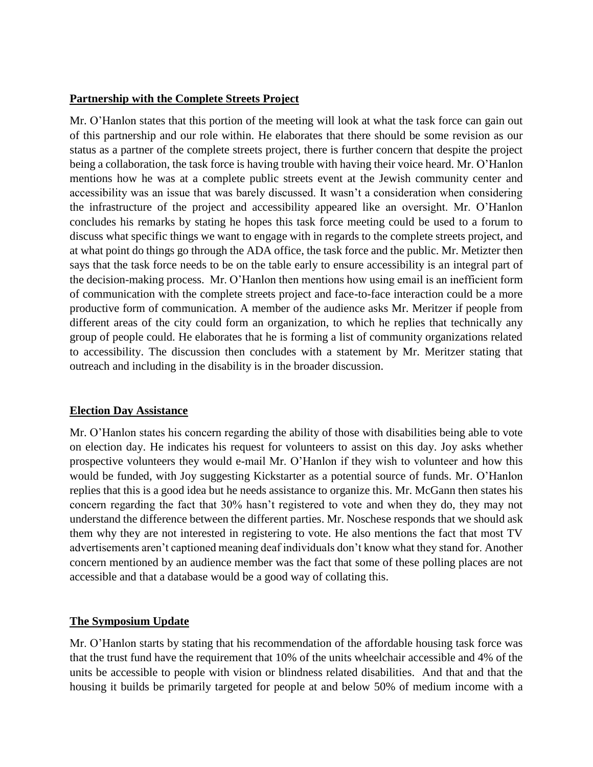### **Partnership with the Complete Streets Project**

Mr. O'Hanlon states that this portion of the meeting will look at what the task force can gain out of this partnership and our role within. He elaborates that there should be some revision as our status as a partner of the complete streets project, there is further concern that despite the project being a collaboration, the task force is having trouble with having their voice heard. Mr. O'Hanlon mentions how he was at a complete public streets event at the Jewish community center and accessibility was an issue that was barely discussed. It wasn't a consideration when considering the infrastructure of the project and accessibility appeared like an oversight. Mr. O'Hanlon concludes his remarks by stating he hopes this task force meeting could be used to a forum to discuss what specific things we want to engage with in regards to the complete streets project, and at what point do things go through the ADA office, the task force and the public. Mr. Metizter then says that the task force needs to be on the table early to ensure accessibility is an integral part of the decision-making process. Mr. O'Hanlon then mentions how using email is an inefficient form of communication with the complete streets project and face-to-face interaction could be a more productive form of communication. A member of the audience asks Mr. Meritzer if people from different areas of the city could form an organization, to which he replies that technically any group of people could. He elaborates that he is forming a list of community organizations related to accessibility. The discussion then concludes with a statement by Mr. Meritzer stating that outreach and including in the disability is in the broader discussion.

# **Election Day Assistance**

Mr. O'Hanlon states his concern regarding the ability of those with disabilities being able to vote on election day. He indicates his request for volunteers to assist on this day. Joy asks whether prospective volunteers they would e-mail Mr. O'Hanlon if they wish to volunteer and how this would be funded, with Joy suggesting Kickstarter as a potential source of funds. Mr. O'Hanlon replies that this is a good idea but he needs assistance to organize this. Mr. McGann then states his concern regarding the fact that 30% hasn't registered to vote and when they do, they may not understand the difference between the different parties. Mr. Noschese responds that we should ask them why they are not interested in registering to vote. He also mentions the fact that most TV advertisements aren't captioned meaning deaf individuals don't know what they stand for. Another concern mentioned by an audience member was the fact that some of these polling places are not accessible and that a database would be a good way of collating this.

#### **The Symposium Update**

Mr. O'Hanlon starts by stating that his recommendation of the affordable housing task force was that the trust fund have the requirement that 10% of the units wheelchair accessible and 4% of the units be accessible to people with vision or blindness related disabilities. And that and that the housing it builds be primarily targeted for people at and below 50% of medium income with a